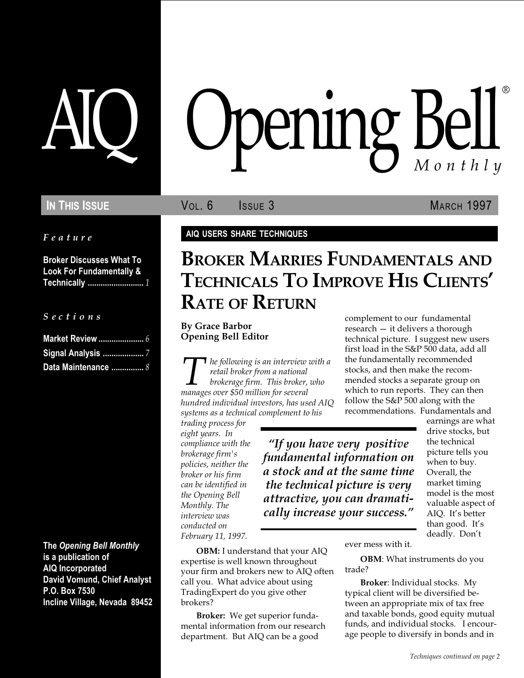Feature

Broker Discusses What To Look For Fundamentally & Technically .......................... 1

S e c t i o n s

| <b>Signal Analysis </b> 7 |  |
|---------------------------|--|
| Data Maintenance  8       |  |

The Opening Bell Monthly is a publication of AIQ Incorporated David Vomund, Chief Analyst P.O. Box 7530 Incline Village, Nevada 89452

# AIQ Opening Bell ®

**IN THIS ISSUE State Section COVID-1997** MARCH 1997

### AIQ USERS SHARE TECHNIQUES

## BROKER MARRIES FUNDAMENTALS AND TECHNICALS TO IMPROVE HIS CLIENTS RATE OF RETURN

By Grace Barbor Opening Bell Editor

 $\blacksquare$  he following is an interview with a retail broker from a national brokerage firm. This broker, who manages over \$50 million for several hundred individual investors, has used AIQ systems as a technical complement to his

trading process for eight years. In compliance with the brokerage firm's policies, neither the broker or his firm can be identified in the Opening Bell Monthly. The interview was conducted on February 11, 1997.

OBM: I understand that your AIQ expertise is well known throughout your firm and brokers new to AIQ often call you. What advice about using TradingExpert do you give other brokers?

Broker: We get superior fundamental information from our research department. But AIQ can be a good

complement to our fundamental research  $-$  it delivers a thorough technical picture. I suggest new users first load in the S&P 500 data, add all the fundamentally recommended stocks, and then make the recommended stocks a separate group on which to run reports. They can then follow the S&P 500 along with the recommendations. Fundamentals and

"If you have very positive fundamental information on a stock and at the same time the technical picture is very attractive, you can dramatically increase your success.

earnings are what drive stocks, but the technical picture tells you when to buy. Overall, the market timing model is the most valuable aspect of AIQ. It's better than good. It's deadly. Don't

ever mess with it.

OBM: What instruments do you trade?

Broker: Individual stocks. My typical client will be diversified between an appropriate mix of tax free and taxable bonds, good equity mutual funds, and individual stocks. I encourage people to diversify in bonds and in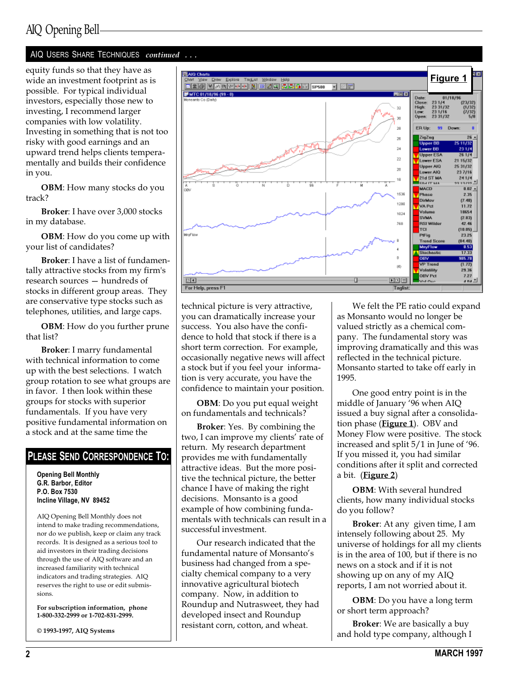equity funds so that they have as wide an investment footprint as is possible. For typical individual investors, especially those new to investing, I recommend larger companies with low volatility. Investing in something that is not too risky with good earnings and an upward trend helps clients temperamentally and builds their confidence in you.

OBM: How many stocks do you track?

Broker: I have over 3,000 stocks in my database.

OBM: How do you come up with your list of candidates?

Broker: I have a list of fundamentally attractive stocks from my firm's research sources - hundreds of stocks in different group areas. They are conservative type stocks such as telephones, utilities, and large caps.

OBM: How do you further prune that list?

Broker: I marry fundamental with technical information to come up with the best selections. I watch group rotation to see what groups are in favor. I then look within these groups for stocks with superior fundamentals. If you have very positive fundamental information on a stock and at the same time the

#### PLEASE SEND CORRESPONDENCE TO:

Opening Bell Monthly G.R. Barbor, Editor P.O. Box 7530 Incline Village, NV 89452

AIQ Opening Bell Monthly does not intend to make trading recommendations, nor do we publish, keep or claim any track records. It is designed as a serious tool to aid investors in their trading decisions through the use of AIQ software and an increased familiarity with technical indicators and trading strategies. AIQ reserves the right to use or edit submissions.

For subscription information, phone 1-800-332-2999 or 1-702-831-2999.

© 1993-1997, AIQ Systems



technical picture is very attractive, you can dramatically increase your success. You also have the confidence to hold that stock if there is a short term correction. For example, occasionally negative news will affect a stock but if you feel your information is very accurate, you have the confidence to maintain your position.

OBM: Do you put equal weight on fundamentals and technicals?

Broker: Yes. By combining the two, I can improve my clients' rate of return. My research department provides me with fundamentally attractive ideas. But the more positive the technical picture, the better chance I have of making the right decisions. Monsanto is a good example of how combining fundamentals with technicals can result in a successful investment.

Our research indicated that the fundamental nature of Monsanto's business had changed from a specialty chemical company to a very innovative agricultural biotech company. Now, in addition to Roundup and Nutrasweet, they had developed insect and Roundup resistant corn, cotton, and wheat.

We felt the PE ratio could expand as Monsanto would no longer be valued strictly as a chemical company. The fundamental story was improving dramatically and this was reflected in the technical picture. Monsanto started to take off early in 1995.

One good entry point is in the middle of January '96 when AIQ issued a buy signal after a consolidation phase (Figure 1). OBV and Money Flow were positive. The stock increased and split 5/1 in June of '96. If you missed it, you had similar conditions after it split and corrected a bit. (Figure 2)

OBM: With several hundred clients, how many individual stocks do you follow?

Broker: At any given time, I am intensely following about 25. My universe of holdings for all my clients is in the area of 100, but if there is no news on a stock and if it is not showing up on any of my AIQ reports, I am not worried about it.

**OBM**: Do you have a long term or short term approach?

Broker: We are basically a buy and hold type company, although I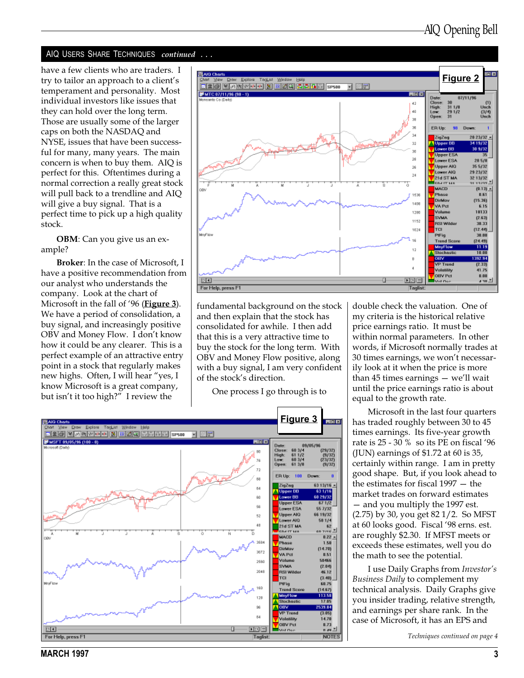have a few clients who are traders. I try to tailor an approach to a client's temperament and personality. Most individual investors like issues that they can hold over the long term. Those are usually some of the larger caps on both the NASDAQ and NYSE, issues that have been successful for many, many years. The main concern is when to buy them. AIQ is perfect for this. Oftentimes during a normal correction a really great stock will pull back to a trendline and AIQ will give a buy signal. That is a perfect time to pick up a high quality stock.

OBM: Can you give us an example?

Broker: In the case of Microsoft, I have a positive recommendation from our analyst who understands the company. Look at the chart of Microsoft in the fall of '96 (**Figure 3**). We have a period of consolidation, a buy signal, and increasingly positive OBV and Money Flow. I don't know how it could be any clearer. This is a perfect example of an attractive entry point in a stock that regularly makes new highs. Often, I will hear "yes, I know Microsoft is a great company, but isn't it too high?" I review the



fundamental background on the stock and then explain that the stock has consolidated for awhile. I then add that this is a very attractive time to buy the stock for the long term. With OBV and Money Flow positive, along with a buy signal, I am very confident of the stock's direction.

One process I go through is to



double check the valuation. One of my criteria is the historical relative price earnings ratio. It must be within normal parameters. In other words, if Microsoft normally trades at 30 times earnings, we won't necessarily look at it when the price is more than  $45$  times earnings  $-$  we'll wait until the price earnings ratio is about equal to the growth rate.

Microsoft in the last four quarters has traded roughly between 30 to 45 times earnings. Its five-year growth rate is 25 - 30 % so its PE on fiscal '96 (JUN) earnings of \$1.72 at 60 is 35, certainly within range. I am in pretty good shape. But, if you look ahead to the estimates for fiscal  $1997 -$  the market trades on forward estimates - and you multiply the 1997 est. (2.75) by 30, you get 82 1/2. So MFST at 60 looks good. Fiscal '98 erns. est. are roughly \$2.30. If MFST meets or exceeds these estimates, well you do the math to see the potential.

I use Daily Graphs from Investor's Business Daily to complement my technical analysis. Daily Graphs give you insider trading, relative strength, and earnings per share rank. In the case of Microsoft, it has an EPS and

Techniques continued on page 4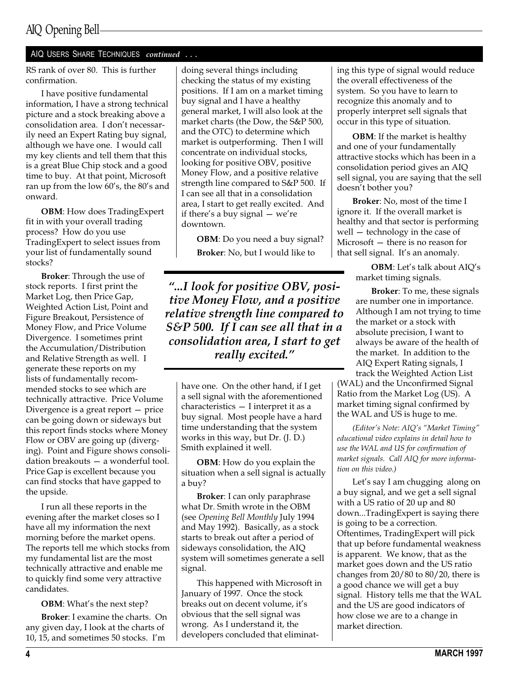RS rank of over 80. This is further confirmation.

I have positive fundamental information, I have a strong technical picture and a stock breaking above a consolidation area. I don't necessarily need an Expert Rating buy signal, although we have one. I would call my key clients and tell them that this is a great Blue Chip stock and a good time to buy. At that point, Microsoft ran up from the low  $60's$ , the  $80's$  and onward.

OBM: How does TradingExpert fit in with your overall trading process? How do you use TradingExpert to select issues from your list of fundamentally sound stocks?

Broker: Through the use of stock reports. I first print the Market Log, then Price Gap, Weighted Action List, Point and Figure Breakout, Persistence of Money Flow, and Price Volume Divergence. I sometimes print the Accumulation/Distribution and Relative Strength as well. I generate these reports on my lists of fundamentally recommended stocks to see which are technically attractive. Price Volume Divergence is a great report  $-$  price can be going down or sideways but this report finds stocks where Money Flow or OBV are going up (diverging). Point and Figure shows consolidation breakouts  $-$  a wonderful tool. Price Gap is excellent because you can find stocks that have gapped to the upside.

I run all these reports in the evening after the market closes so I have all my information the next morning before the market opens. The reports tell me which stocks from my fundamental list are the most technically attractive and enable me to quickly find some very attractive candidates.

OBM: What's the next step?

Broker: I examine the charts. On any given day, I look at the charts of 10, 15, and sometimes 50 stocks. I'm

doing several things including checking the status of my existing positions. If I am on a market timing buy signal and I have a healthy general market, I will also look at the market charts (the Dow, the S&P 500, and the OTC) to determine which market is outperforming. Then I will concentrate on individual stocks, looking for positive OBV, positive Money Flow, and a positive relative strength line compared to S&P 500. If I can see all that in a consolidation area, I start to get really excited. And if there's a buy signal  $-$  we're downtown.

OBM: Do you need a buy signal? Broker: No, but I would like to

...I look for positive OBV, positive Money Flow, and a positive relative strength line compared to S&P 500. If I can see all that in a consolidation area, I start to get really excited.

have one. On the other hand, if I get a sell signal with the aforementioned  $characteristics - I$  interpret it as a buy signal. Most people have a hard time understanding that the system works in this way, but Dr. (J. D.) Smith explained it well.

OBM: How do you explain the situation when a sell signal is actually a buy?

Broker: I can only paraphrase what Dr. Smith wrote in the OBM (see Opening Bell Monthly July 1994 and May 1992). Basically, as a stock starts to break out after a period of sideways consolidation, the AIQ system will sometimes generate a sell signal.

This happened with Microsoft in January of 1997. Once the stock breaks out on decent volume, it's obvious that the sell signal was wrong. As I understand it, the developers concluded that eliminating this type of signal would reduce the overall effectiveness of the system. So you have to learn to recognize this anomaly and to properly interpret sell signals that occur in this type of situation.

OBM: If the market is healthy and one of your fundamentally attractive stocks which has been in a consolidation period gives an AIQ sell signal, you are saying that the sell doesn't bother you?

Broker: No, most of the time I ignore it. If the overall market is healthy and that sector is performing well  $-$  technology in the case of Microsoft  $-$  there is no reason for that sell signal. It's an anomaly.

> OBM: Let's talk about AIQ's market timing signals.

> Broker: To me, these signals are number one in importance. Although I am not trying to time the market or a stock with absolute precision, I want to always be aware of the health of the market. In addition to the AIQ Expert Rating signals, I track the Weighted Action List

(WAL) and the Unconfirmed Signal Ratio from the Market Log (US). A market timing signal confirmed by the WAL and US is huge to me.

(Editor's Note: AIQ's "Market Timing" educational video explains in detail how to use the WAL and US for confirmation of market signals. Call AIQ for more information on this video.)

Let's say I am chugging along on a buy signal, and we get a sell signal with a US ratio of 20 up and 80 down...TradingExpert is saying there is going to be a correction. Oftentimes, TradingExpert will pick that up before fundamental weakness is apparent. We know, that as the market goes down and the US ratio changes from 20/80 to 80/20, there is a good chance we will get a buy signal. History tells me that the WAL and the US are good indicators of how close we are to a change in market direction.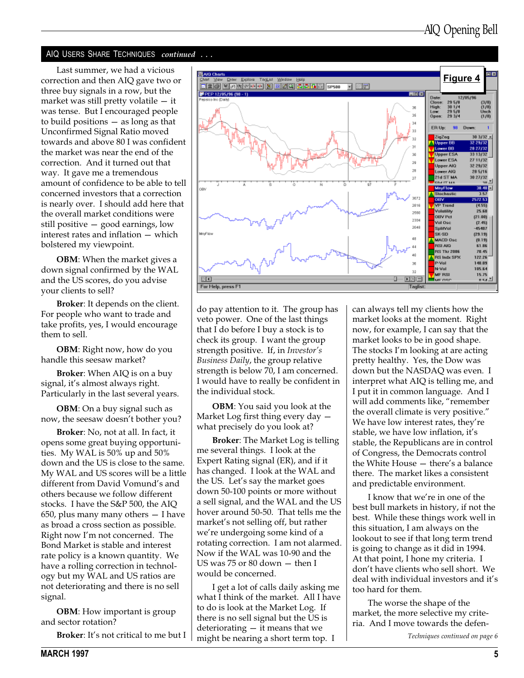Last summer, we had a vicious correction and then AIQ gave two or three buy signals in a row, but the market was still pretty volatile  $-$  it was tense. But I encouraged people to build positions  $-$  as long as that Unconfirmed Signal Ratio moved towards and above 80 I was confident the market was near the end of the correction. And it turned out that way. It gave me a tremendous amount of confidence to be able to tell concerned investors that a correction is nearly over. I should add here that the overall market conditions were still positive  $-$  good earnings, low interest rates and inflation  $-$  which bolstered my viewpoint.

OBM: When the market gives a down signal confirmed by the WAL and the US scores, do you advise your clients to sell?

Broker: It depends on the client. For people who want to trade and take profits, yes, I would encourage them to sell.

OBM: Right now, how do you handle this seesaw market?

Broker: When AIQ is on a buy signal, it's almost always right. Particularly in the last several years.

OBM: On a buy signal such as now, the seesaw doesn't bother you?

Broker: No, not at all. In fact, it opens some great buying opportunities. My WAL is 50% up and 50% down and the US is close to the same. My WAL and US scores will be a little different from David Vomund's and others because we follow different stocks. I have the S&P 500, the AIQ 650, plus many many others  $-$  I have as broad a cross section as possible. Right now I'm not concerned. The Bond Market is stable and interest rate policy is a known quantity. We have a rolling correction in technology but my WAL and US ratios are not deteriorating and there is no sell signal.

**OBM:** How important is group and sector rotation?

Broker: It's not critical to me but I



do pay attention to it. The group has veto power. One of the last things that I do before I buy a stock is to check its group. I want the group strength positive. If, in Investor's Business Daily, the group relative strength is below 70, I am concerned. I would have to really be confident in the individual stock.

OBM: You said you look at the Market Log first thing every day  $$ what precisely do you look at?

Broker: The Market Log is telling me several things. I look at the Expert Rating signal (ER), and if it has changed. I look at the WAL and the US. Let's say the market goes down 50-100 points or more without a sell signal, and the WAL and the US hover around 50-50. That tells me the market's not selling off, but rather we're undergoing some kind of a rotating correction. I am not alarmed. Now if the WAL was 10-90 and the US was  $75$  or  $80$  down  $-$  then I would be concerned.

I get a lot of calls daily asking me what I think of the market. All I have to do is look at the Market Log. If there is no sell signal but the US is deteriorating  $-$  it means that we might be nearing a short term top. I

can always tell my clients how the market looks at the moment. Right now, for example, I can say that the market looks to be in good shape. The stocks I'm looking at are acting pretty healthy. Yes, the Dow was down but the NASDAQ was even. I interpret what AIQ is telling me, and I put it in common language. And I will add comments like, "remember the overall climate is very positive. We have low interest rates, they're stable, we have low inflation, it's stable, the Republicans are in control of Congress, the Democrats control the White House  $-$  there's a balance there. The market likes a consistent and predictable environment.

I know that we're in one of the best bull markets in history, if not the best. While these things work well in this situation, I am always on the lookout to see if that long term trend is going to change as it did in 1994. At that point, I hone my criteria. I don't have clients who sell short. We deal with individual investors and it's too hard for them.

The worse the shape of the market, the more selective my criteria. And I move towards the defen-

Techniques continued on page 6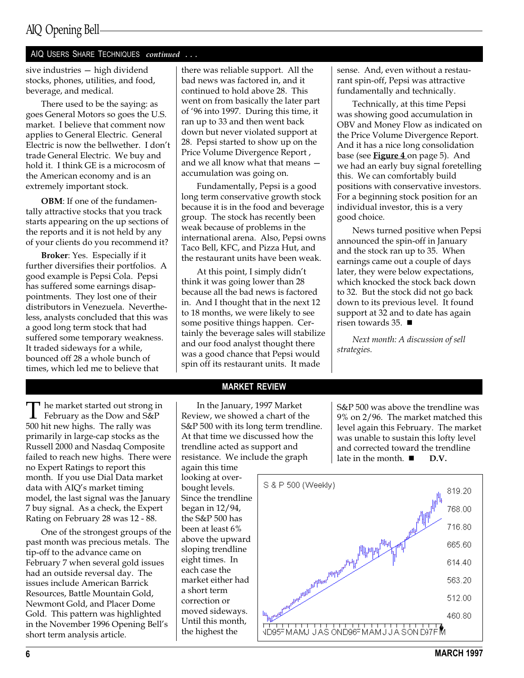sive industries - high dividend stocks, phones, utilities, and food, beverage, and medical.

There used to be the saying: as goes General Motors so goes the U.S. market. I believe that comment now applies to General Electric. General Electric is now the bellwether. I don't trade General Electric. We buy and hold it. I think GE is a microcosm of the American economy and is an extremely important stock.

OBM: If one of the fundamentally attractive stocks that you track starts appearing on the up sections of the reports and it is not held by any of your clients do you recommend it?

Broker: Yes. Especially if it further diversifies their portfolios. A good example is Pepsi Cola. Pepsi has suffered some earnings disappointments. They lost one of their distributors in Venezuela. Nevertheless, analysts concluded that this was a good long term stock that had suffered some temporary weakness. It traded sideways for a while, bounced off 28 a whole bunch of times, which led me to believe that

The market started out strong in<br>February as the Dow and S&P 500 hit new highs. The rally was primarily in large-cap stocks as the Russell 2000 and Nasdaq Composite failed to reach new highs. There were no Expert Ratings to report this month. If you use Dial Data market data with AIQ's market timing model, the last signal was the January 7 buy signal. As a check, the Expert Rating on February 28 was 12 - 88.

One of the strongest groups of the past month was precious metals. The tip-off to the advance came on February 7 when several gold issues had an outside reversal day. The issues include American Barrick Resources, Battle Mountain Gold, Newmont Gold, and Placer Dome Gold. This pattern was highlighted in the November 1996 Opening Bell's short term analysis article.

there was reliable support. All the bad news was factored in, and it continued to hold above 28. This went on from basically the later part of 96 into 1997. During this time, it ran up to 33 and then went back down but never violated support at 28. Pepsi started to show up on the Price Volume Divergence Report , and we all know what that means accumulation was going on.

Fundamentally, Pepsi is a good long term conservative growth stock because it is in the food and beverage group. The stock has recently been weak because of problems in the international arena. Also, Pepsi owns Taco Bell, KFC, and Pizza Hut, and the restaurant units have been weak.

At this point, I simply didn't think it was going lower than 28 because all the bad news is factored in. And I thought that in the next 12 to 18 months, we were likely to see some positive things happen. Certainly the beverage sales will stabilize and our food analyst thought there was a good chance that Pepsi would spin off its restaurant units. It made

sense. And, even without a restaurant spin-off, Pepsi was attractive fundamentally and technically.

Technically, at this time Pepsi was showing good accumulation in OBV and Money Flow as indicated on the Price Volume Divergence Report. And it has a nice long consolidation base (see **Figure 4** on page 5). And we had an early buy signal foretelling this. We can comfortably build positions with conservative investors. For a beginning stock position for an individual investor, this is a very good choice.

News turned positive when Pepsi announced the spin-off in January and the stock ran up to 35. When earnings came out a couple of days later, they were below expectations, which knocked the stock back down to 32. But the stock did not go back down to its previous level. It found support at 32 and to date has again risen towards 35.  $\blacksquare$ 

Next month: A discussion of sell strategies.

#### MARKET REVIEW

In the January, 1997 Market Review, we showed a chart of the S&P 500 with its long term trendline. At that time we discussed how the trendline acted as support and resistance. We include the graph

again this time looking at overbought levels. Since the trendline began in 12/94, the S&P 500 has been at least 6% above the upward sloping trendline eight times. In each case the market either had a short term correction or moved sideways. Until this month, the highest the

S&P 500 was above the trendline was 9% on 2/96. The market matched this level again this February. The market was unable to sustain this lofty level and corrected toward the trendline late in the month.  $\blacksquare$  D.V.

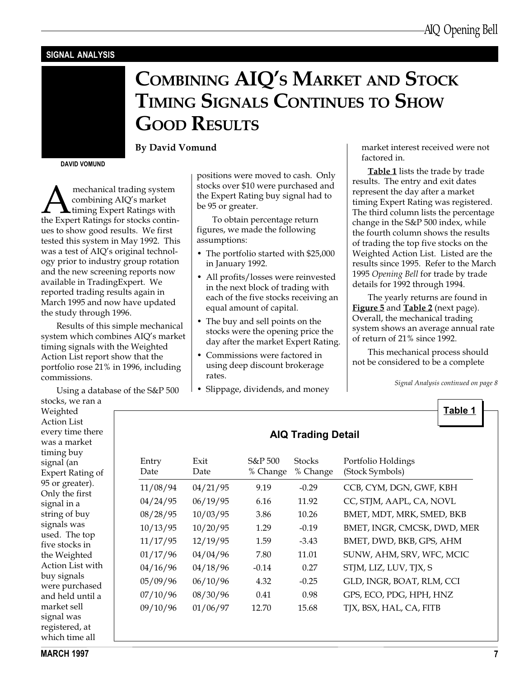#### SIGNAL ANALYSIS

# COMBINING AIQ'S MARKET AND STOCK TIMING SIGNALS CONTINUES TO SHOW GOOD RESULTS

By David Vomund

DAVID VOMUND

**A mechanical trading system<br>combining AIQ's market<br>the Expert Ratings for stocks contin**combining AIQ's market **L** timing Expert Ratings with ues to show good results. We first tested this system in May 1992. This was a test of AIQ's original technology prior to industry group rotation and the new screening reports now available in TradingExpert. We reported trading results again in March 1995 and now have updated the study through 1996.

Results of this simple mechanical system which combines AIO's market timing signals with the Weighted Action List report show that the portfolio rose 21% in 1996, including commissions.

Using a database of the S&P 500

stocks, we ran a Weighted Action List every time there was a market timing buy signal (an Expert Rating of 95 or greater). Only the first signal in a string of buy signals was used. The top five stocks in the Weighted Action List with buy signals were purchased and held until a market sell signal was registered, at which time all

positions were moved to cash. Only stocks over \$10 were purchased and the Expert Rating buy signal had to be 95 or greater.

To obtain percentage return figures, we made the following assumptions:

- The portfolio started with \$25,000 in January 1992.
- All profits/losses were reinvested in the next block of trading with each of the five stocks receiving an equal amount of capital.
- The buy and sell points on the stocks were the opening price the day after the market Expert Rating.
- Commissions were factored in using deep discount brokerage rates.
- Slippage, dividends, and money

market interest received were not factored in.

Table 1 lists the trade by trade results. The entry and exit dates represent the day after a market timing Expert Rating was registered. The third column lists the percentage change in the S&P 500 index, while the fourth column shows the results of trading the top five stocks on the Weighted Action List. Listed are the results since 1995. Refer to the March 1995 Opening Bell for trade by trade details for 1992 through 1994.

The yearly returns are found in **Figure 5** and **Table 2** (next page). Overall, the mechanical trading system shows an average annual rate of return of 21% since 1992.

This mechanical process should not be considered to be a complete

Signal Analysis continued on page 8

Table 1

| Entry<br>Date | Exit<br>Date | S&P 500<br>% Change | <b>Stocks</b><br>% Change | Portfolio Holdings<br>(Stock Symbols) |
|---------------|--------------|---------------------|---------------------------|---------------------------------------|
| 11/08/94      | 04/21/95     | 9.19                | $-0.29$                   | CCB, CYM, DGN, GWF, KBH               |
| 04/24/95      | 06/19/95     | 6.16                | 11.92                     | CC, STJM, AAPL, CA, NOVL              |
| 08/28/95      | 10/03/95     | 3.86                | 10.26                     | BMET, MDT, MRK, SMED, BKB             |
| 10/13/95      | 10/20/95     | 1.29                | $-0.19$                   | BMET, INGR, CMCSK, DWD, MER           |
| 11/17/95      | 12/19/95     | 1.59                | $-3.43$                   | BMET, DWD, BKB, GPS, AHM              |
| 01/17/96      | 04/04/96     | 7.80                | 11.01                     | SUNW, AHM, SRV, WFC, MCIC             |
| 04/16/96      | 04/18/96     | $-0.14$             | 0.27                      | STJM, LIZ, LUV, TJX, S                |
| 05/09/96      | 06/10/96     | 4.32                | $-0.25$                   | GLD, INGR, BOAT, RLM, CCI             |
| 07/10/96      | 08/30/96     | 0.41                | 0.98                      | GPS, ECO, PDG, HPH, HNZ               |
| 09/10/96      | 01/06/97     | 12.70               | 15.68                     | TJX, BSX, HAL, CA, FITB               |

#### AIQ Trading Detail